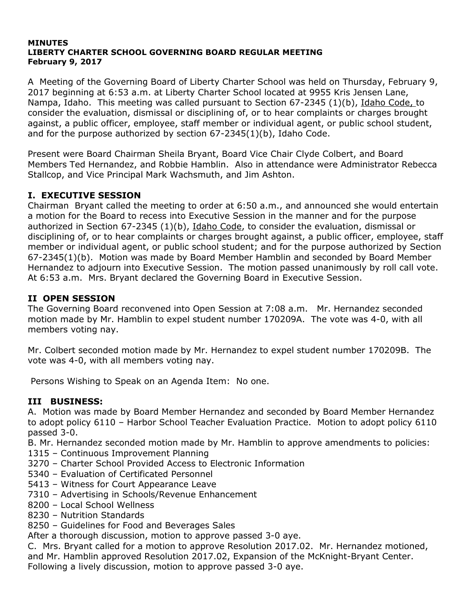#### **MINUTES LIBERTY CHARTER SCHOOL GOVERNING BOARD REGULAR MEETING February 9, 2017**

A Meeting of the Governing Board of Liberty Charter School was held on Thursday, February 9, 2017 beginning at 6:53 a.m. at Liberty Charter School located at 9955 Kris Jensen Lane, Nampa, Idaho. This meeting was called pursuant to Section 67-2345 (1)(b), Idaho Code, to consider the evaluation, dismissal or disciplining of, or to hear complaints or charges brought against, a public officer, employee, staff member or individual agent, or public school student, and for the purpose authorized by section  $67-2345(1)(b)$ , Idaho Code.

Present were Board Chairman Sheila Bryant, Board Vice Chair Clyde Colbert, and Board Members Ted Hernandez, and Robbie Hamblin. Also in attendance were Administrator Rebecca Stallcop, and Vice Principal Mark Wachsmuth, and Jim Ashton.

# **I. EXECUTIVE SESSION**

Chairman Bryant called the meeting to order at 6:50 a.m., and announced she would entertain a motion for the Board to recess into Executive Session in the manner and for the purpose authorized in Section  $67-2345$  (1)(b), Idaho Code, to consider the evaluation, dismissal or disciplining of, or to hear complaints or charges brought against, a public officer, employee, staff member or individual agent, or public school student; and for the purpose authorized by Section 67-2345(1)(b). Motion was made by Board Member Hamblin and seconded by Board Member Hernandez to adjourn into Executive Session. The motion passed unanimously by roll call vote. At 6:53 a.m. Mrs. Bryant declared the Governing Board in Executive Session.

# **II OPEN SESSION**

The Governing Board reconvened into Open Session at 7:08 a.m. Mr. Hernandez seconded motion made by Mr. Hamblin to expel student number 170209A. The vote was 4-0, with all members voting nay.

Mr. Colbert seconded motion made by Mr. Hernandez to expel student number 170209B. The vote was 4-0, with all members voting nay.

Persons Wishing to Speak on an Agenda Item: No one.

## **III BUSINESS:**

A. Motion was made by Board Member Hernandez and seconded by Board Member Hernandez to adopt policy 6110 – Harbor School Teacher Evaluation Practice. Motion to adopt policy 6110 passed 3-0.

B. Mr. Hernandez seconded motion made by Mr. Hamblin to approve amendments to policies:

- 1315 Continuous Improvement Planning
- 3270 Charter School Provided Access to Electronic Information
- 5340 Evaluation of Certificated Personnel
- 5413 Witness for Court Appearance Leave
- 7310 Advertising in Schools/Revenue Enhancement
- 8200 Local School Wellness
- 8230 Nutrition Standards
- 8250 Guidelines for Food and Beverages Sales

After a thorough discussion, motion to approve passed 3-0 aye.

C. Mrs. Bryant called for a motion to approve Resolution 2017.02. Mr. Hernandez motioned, and Mr. Hamblin approved Resolution 2017.02, Expansion of the McKnight-Bryant Center. Following a lively discussion, motion to approve passed 3-0 aye.